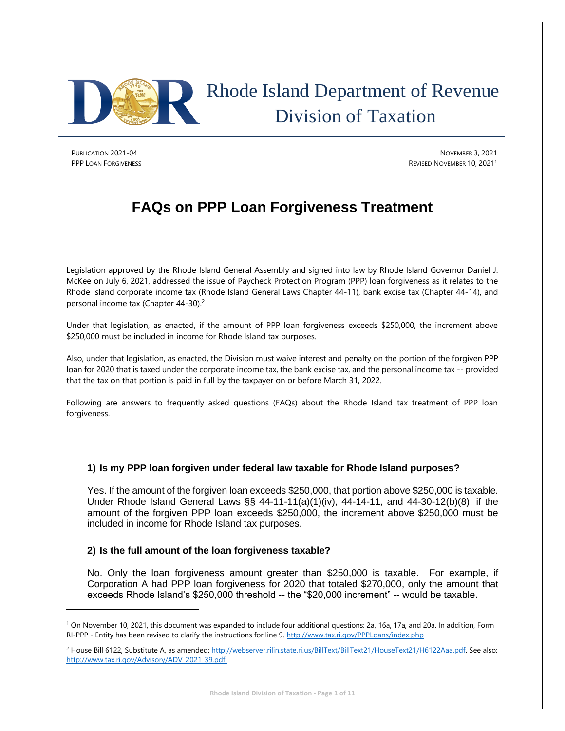

# Rhode Island Department of Revenue Division of Taxation

PUBLICATION 2021-04 NOVEMBER 3, 2021 **PPP LOAN FORGIVENESS REVISED NOVEMBER 10, 2021<sup>1</sup>** 

# **FAQs on PPP Loan Forgiveness Treatment**

Legislation approved by the Rhode Island General Assembly and signed into law by Rhode Island Governor Daniel J. McKee on July 6, 2021, addressed the issue of Paycheck Protection Program (PPP) loan forgiveness as it relates to the Rhode Island corporate income tax (Rhode Island General Laws Chapter 44-11), bank excise tax (Chapter 44-14), and personal income tax (Chapter 44-30). 2

Under that legislation, as enacted, if the amount of PPP loan forgiveness exceeds \$250,000, the increment above \$250,000 must be included in income for Rhode Island tax purposes.

Also, under that legislation, as enacted, the Division must waive interest and penalty on the portion of the forgiven PPP loan for 2020 that is taxed under the corporate income tax, the bank excise tax, and the personal income tax -- provided that the tax on that portion is paid in full by the taxpayer on or before March 31, 2022.

Following are answers to frequently asked questions (FAQs) about the Rhode Island tax treatment of PPP loan forgiveness.

# **1) Is my PPP loan forgiven under federal law taxable for Rhode Island purposes?**

Yes. If the amount of the forgiven loan exceeds \$250,000, that portion above \$250,000 is taxable. Under Rhode Island General Laws §§ 44-11-11(a)(1)(iv), 44-14-11, and 44-30-12(b)(8), if the amount of the forgiven PPP loan exceeds \$250,000, the increment above \$250,000 must be included in income for Rhode Island tax purposes.

#### **2) Is the full amount of the loan forgiveness taxable?**

No. Only the loan forgiveness amount greater than \$250,000 is taxable. For example, if Corporation A had PPP loan forgiveness for 2020 that totaled \$270,000, only the amount that exceeds Rhode Island's \$250,000 threshold -- the "\$20,000 increment" -- would be taxable.

<sup>1</sup> On November 10, 2021, this document was expanded to include four additional questions: 2a, 16a, 17a, and 20a. In addition, Form RI-PPP - Entity has been revised to clarify the instructions for line 9[. http://www.tax.ri.gov/PPPLoans/index.php](http://www.tax.ri.gov/PPPLoans/index.php)

<sup>&</sup>lt;sup>2</sup> House Bill 6122, Substitute A, as amended[: http://webserver.rilin.state.ri.us/BillText/BillText21/HouseText21/H6122Aaa.pdf.](http://webserver.rilin.state.ri.us/BillText/BillText21/HouseText21/H6122Aaa.pdf) See also: [http://www.tax.ri.gov/Advisory/ADV\\_2021\\_39.pdf.](http://www.tax.ri.gov/Advisory/ADV_2021_39.pdf)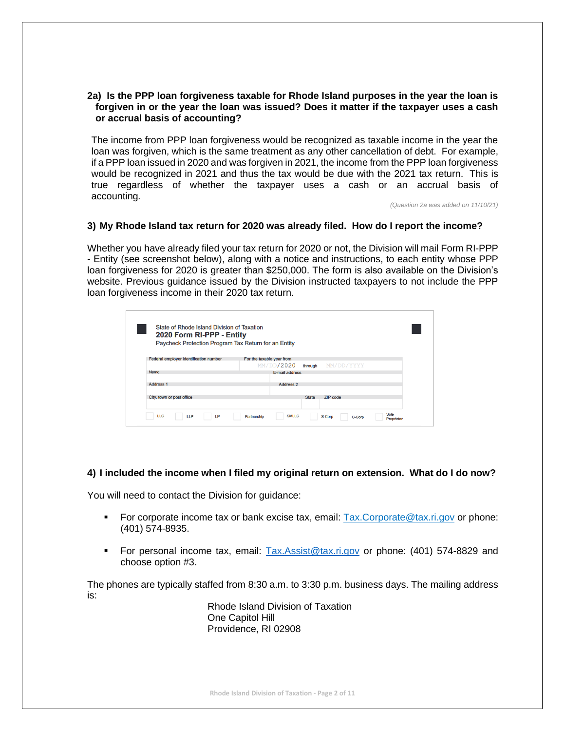# **2a) Is the PPP loan forgiveness taxable for Rhode Island purposes in the year the loan is forgiven in or the year the loan was issued? Does it matter if the taxpayer uses a cash or accrual basis of accounting?**

The income from PPP loan forgiveness would be recognized as taxable income in the year the loan was forgiven, which is the same treatment as any other cancellation of debt. For example, if a PPP loan issued in 2020 and was forgiven in 2021, the income from the PPP loan forgiveness would be recognized in 2021 and thus the tax would be due with the 2021 tax return. This is true regardless of whether the taxpayer uses a cash or an accrual basis of accounting*.* 

*(Question 2a was added on 11/10/21)*

#### **3) My Rhode Island tax return for 2020 was already filed. How do I report the income?**

Whether you have already filed your tax return for 2020 or not, the Division will mail Form RI-PPP - Entity (see screenshot below), along with a notice and instructions, to each entity whose PPP loan forgiveness for 2020 is greater than \$250,000. The form is also available on the Division's website. Previous guidance issued by the Division instructed taxpayers to not include the PPP loan forgiveness income in their 2020 tax return.

| State of Rhode Island Division of Taxation<br>2020 Form RI-PPP - Entity<br>Paycheck Protection Program Tax Return for an Entity |                                                                       |
|---------------------------------------------------------------------------------------------------------------------------------|-----------------------------------------------------------------------|
| Federal employer identification number                                                                                          | For the taxable year from                                             |
|                                                                                                                                 | MM/DD/2020<br>MM/DD/YYYY<br>through                                   |
| <b>Name</b>                                                                                                                     | E-mail address                                                        |
|                                                                                                                                 |                                                                       |
| <b>Address 1</b>                                                                                                                | <b>Address 2</b>                                                      |
|                                                                                                                                 |                                                                       |
| City, town or post office                                                                                                       | <b>State</b><br>ZIP code                                              |
|                                                                                                                                 |                                                                       |
| <b>LLC</b><br><b>LLP</b><br>LP                                                                                                  | Sole<br><b>SMLLC</b><br>Partnership<br>S-Corp<br>C-Corp<br>Proprietor |

#### **4) I included the income when I filed my original return on extension. What do I do now?**

You will need to contact the Division for guidance:

- For corporate income tax or bank excise tax, email: [Tax.Corporate@tax.ri.gov](mailto:Tax.Corporate@tax.ri.gov) or phone: (401) 574-8935.
- For personal income tax, email: [Tax.Assist@tax.ri.gov](mailto:Tax.Assist@tax.ri.gov) or phone: (401) 574-8829 and choose option #3.

The phones are typically staffed from 8:30 a.m. to 3:30 p.m. business days. The mailing address is:

Rhode Island Division of Taxation One Capitol Hill Providence, RI 02908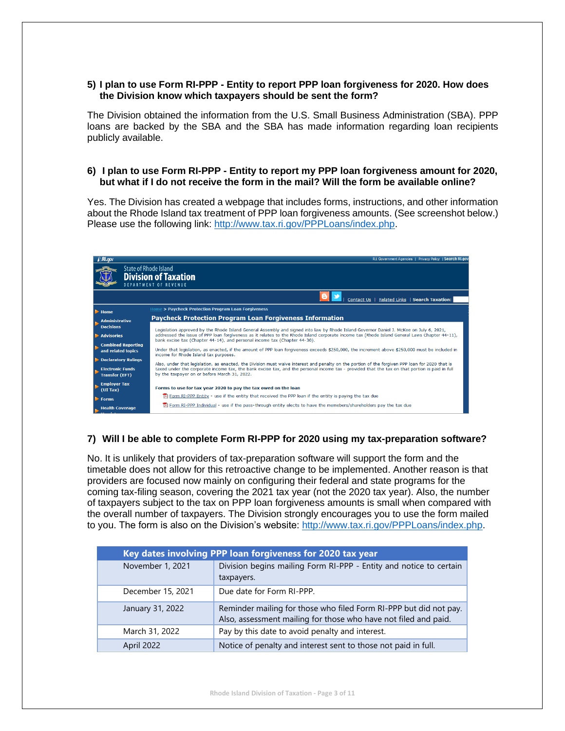#### **5) I plan to use Form RI-PPP - Entity to report PPP loan forgiveness for 2020. How does the Division know which taxpayers should be sent the form?**

The Division obtained the information from the U.S. Small Business Administration (SBA). PPP loans are backed by the SBA and the SBA has made information regarding loan recipients publicly available.

#### **6) I plan to use Form RI-PPP - Entity to report my PPP loan forgiveness amount for 2020, but what if I do not receive the form in the mail? Will the form be available online?**

Yes. The Division has created a webpage that includes forms, instructions, and other information about the Rhode Island tax treatment of PPP loan forgiveness amounts. (See screenshot below.) Please use the following link: [http://www.tax.ri.gov/PPPLoans/index.php.](http://www.tax.ri.gov/PPPLoans/index.php)

| A RI.gov                                                                             | R.I. Government Agencies   Privacy Policy   Search RI.gov.                                                                                                                                                                                                                                                                                                            |  |  |  |  |  |  |
|--------------------------------------------------------------------------------------|-----------------------------------------------------------------------------------------------------------------------------------------------------------------------------------------------------------------------------------------------------------------------------------------------------------------------------------------------------------------------|--|--|--|--|--|--|
| <b>State of Rhode Island</b><br><b>Division of Taxation</b><br>DEPARTMENT OF REVENUE |                                                                                                                                                                                                                                                                                                                                                                       |  |  |  |  |  |  |
|                                                                                      | Contact Us   Related Links   Search Taxation:                                                                                                                                                                                                                                                                                                                         |  |  |  |  |  |  |
| $\blacktriangleright$ Home                                                           | Home > Paycheck Protection Program Loan Forgiveness                                                                                                                                                                                                                                                                                                                   |  |  |  |  |  |  |
| <b>Administrative</b><br><b>Decisions</b>                                            | <b>Paycheck Protection Program Loan Forgiveness Information</b>                                                                                                                                                                                                                                                                                                       |  |  |  |  |  |  |
| Advisories                                                                           | Legislation approved by the Rhode Island General Assembly and signed into law by Rhode Island Governor Daniel J. McKee on July 6, 2021,<br>addressed the issue of PPP loan forgiveness as it relates to the Rhode Island corporate income tax (Rhode Island General Laws Chapter 44-11),<br>bank excise tax (Chapter 44-14), and personal income tax (Chapter 44-30). |  |  |  |  |  |  |
| <b>Combined Reporting</b><br>and related topics                                      | Under that legislation, as enacted, if the amount of PPP loan forgiveness exceeds \$250,000, the increment above \$250,000 must be included in<br>income for Rhode Island tax purposes.                                                                                                                                                                               |  |  |  |  |  |  |
| <b>Declaratory Rulings</b>                                                           | Also, under that legislation, as enacted, the Division must waive interest and penalty on the portion of the forgiven PPP loan for 2020 that is                                                                                                                                                                                                                       |  |  |  |  |  |  |
| <b>Electronic Funds</b><br><b>Transfer (EFT)</b>                                     | taxed under the corporate income tax, the bank excise tax, and the personal income tax - provided that the tax on that portion is paid in full<br>by the taxpayer on or before March 31, 2022.                                                                                                                                                                        |  |  |  |  |  |  |
| <b>Employer Tax</b><br>(UI Tax)                                                      | Forms to use for tax year 2020 to pay the tax owed on the loan                                                                                                                                                                                                                                                                                                        |  |  |  |  |  |  |
| $\blacktriangleright$ Forms                                                          | $\overline{R}$ Form RI-PPP Entity - use if the entity that received the PPP loan if the entity is paying the tax due                                                                                                                                                                                                                                                  |  |  |  |  |  |  |
| <b>Health Coverage</b>                                                               | Form RI-PPP Individual - use if the pass-through entity elects to have the memebers/shareholders pay the tax due                                                                                                                                                                                                                                                      |  |  |  |  |  |  |

#### **7) Will I be able to complete Form RI-PPP for 2020 using my tax-preparation software?**

No. It is unlikely that providers of tax-preparation software will support the form and the timetable does not allow for this retroactive change to be implemented. Another reason is that providers are focused now mainly on configuring their federal and state programs for the coming tax-filing season, covering the 2021 tax year (not the 2020 tax year). Also, the number of taxpayers subject to the tax on PPP loan forgiveness amounts is small when compared with the overall number of taxpayers. The Division strongly encourages you to use the form mailed to you. The form is also on the Division's website: [http://www.tax.ri.gov/PPPLoans/index.php.](http://www.tax.ri.gov/PPPLoans/index.php)

| Key dates involving PPP loan forgiveness for 2020 tax year |                                                                                                                                      |  |  |  |  |  |
|------------------------------------------------------------|--------------------------------------------------------------------------------------------------------------------------------------|--|--|--|--|--|
| November 1, 2021                                           | Division begins mailing Form RI-PPP - Entity and notice to certain<br>taxpayers.                                                     |  |  |  |  |  |
| December 15, 2021                                          | Due date for Form RI-PPP.                                                                                                            |  |  |  |  |  |
| January 31, 2022                                           | Reminder mailing for those who filed Form RI-PPP but did not pay.<br>Also, assessment mailing for those who have not filed and paid. |  |  |  |  |  |
| March 31, 2022                                             | Pay by this date to avoid penalty and interest.                                                                                      |  |  |  |  |  |
| April 2022                                                 | Notice of penalty and interest sent to those not paid in full.                                                                       |  |  |  |  |  |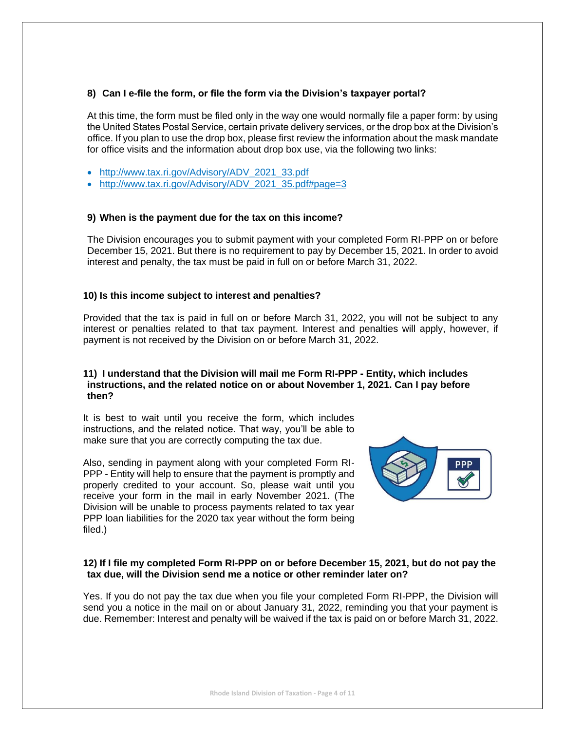#### **8) Can I e-file the form, or file the form via the Division's taxpayer portal?**

At this time, the form must be filed only in the way one would normally file a paper form: by using the United States Postal Service, certain private delivery services, or the drop box at the Division's office. If you plan to use the drop box, please first review the information about the mask mandate for office visits and the information about drop box use, via the following two links:

- [http://www.tax.ri.gov/Advisory/ADV\\_2021\\_33.pdf](http://www.tax.ri.gov/Advisory/ADV_2021_33.pdf)
- [http://www.tax.ri.gov/Advisory/ADV\\_2021\\_35.pdf#page=3](http://www.tax.ri.gov/Advisory/ADV_2021_35.pdf#page=3)

#### **9) When is the payment due for the tax on this income?**

The Division encourages you to submit payment with your completed Form RI-PPP on or before December 15, 2021. But there is no requirement to pay by December 15, 2021. In order to avoid interest and penalty, the tax must be paid in full on or before March 31, 2022.

#### **10) Is this income subject to interest and penalties?**

Provided that the tax is paid in full on or before March 31, 2022, you will not be subject to any interest or penalties related to that tax payment. Interest and penalties will apply, however, if payment is not received by the Division on or before March 31, 2022.

#### **11) I understand that the Division will mail me Form RI-PPP - Entity, which includes instructions, and the related notice on or about November 1, 2021. Can I pay before then?**

It is best to wait until you receive the form, which includes instructions, and the related notice. That way, you'll be able to make sure that you are correctly computing the tax due.

Also, sending in payment along with your completed Form RI-PPP - Entity will help to ensure that the payment is promptly and properly credited to your account. So, please wait until you receive your form in the mail in early November 2021. (The Division will be unable to process payments related to tax year PPP loan liabilities for the 2020 tax year without the form being filed.)



#### **12) If I file my completed Form RI-PPP on or before December 15, 2021, but do not pay the tax due, will the Division send me a notice or other reminder later on?**

Yes. If you do not pay the tax due when you file your completed Form RI-PPP, the Division will send you a notice in the mail on or about January 31, 2022, reminding you that your payment is due. Remember: Interest and penalty will be waived if the tax is paid on or before March 31, 2022.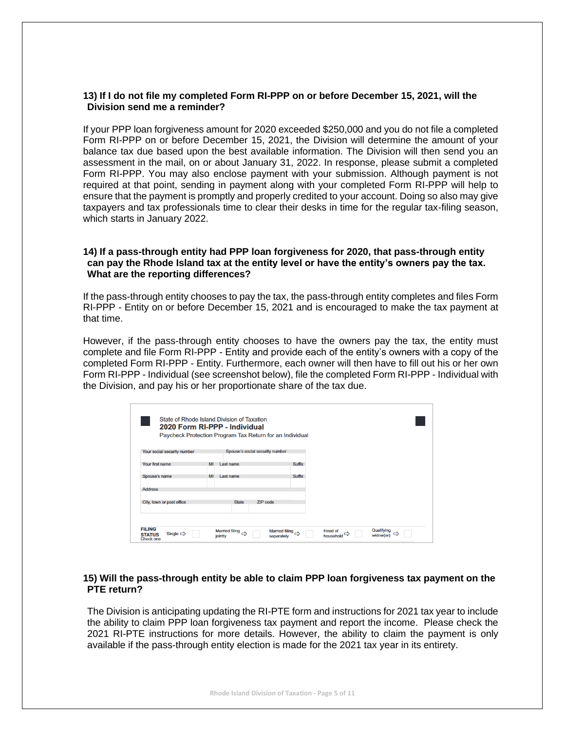## **13) If I do not file my completed Form RI-PPP on or before December 15, 2021, will the Division send me a reminder?**

If your PPP loan forgiveness amount for 2020 exceeded \$250,000 and you do not file a completed Form RI-PPP on or before December 15, 2021, the Division will determine the amount of your balance tax due based upon the best available information. The Division will then send you an assessment in the mail, on or about January 31, 2022. In response, please submit a completed Form RI-PPP. You may also enclose payment with your submission. Although payment is not required at that point, sending in payment along with your completed Form RI-PPP will help to ensure that the payment is promptly and properly credited to your account. Doing so also may give taxpayers and tax professionals time to clear their desks in time for the regular tax-filing season, which starts in January 2022.

#### **14) If a pass-through entity had PPP loan forgiveness for 2020, that pass-through entity can pay the Rhode Island tax at the entity level or have the entity's owners pay the tax. What are the reporting differences?**

If the pass-through entity chooses to pay the tax, the pass-through entity completes and files Form RI-PPP - Entity on or before December 15, 2021 and is encouraged to make the tax payment at that time.

However, if the pass-through entity chooses to have the owners pay the tax, the entity must complete and file Form RI-PPP - Entity and provide each of the entity's owners with a copy of the completed Form RI-PPP - Entity. Furthermore, each owner will then have to fill out his or her own Form RI-PPP - Individual (see screenshot below), file the completed Form RI-PPP - Individual with the Division, and pay his or her proportionate share of the tax due.

|                                                                     | State of Rhode Island Division of Taxation<br>2020 Form RI-PPP - Individual<br>Paycheck Protection Program Tax Return for an Individual |                             |                         |
|---------------------------------------------------------------------|-----------------------------------------------------------------------------------------------------------------------------------------|-----------------------------|-------------------------|
| Your social security number                                         | Spouse's social security number                                                                                                         |                             |                         |
| Your first name                                                     | Last name<br>MI                                                                                                                         | <b>Suffix</b>               |                         |
| Spouse's name                                                       | MI<br>Last name                                                                                                                         | <b>Suffix</b>               |                         |
| <b>Address</b>                                                      |                                                                                                                                         |                             |                         |
| City, town or post office                                           | <b>ZIP</b> code<br><b>State</b>                                                                                                         |                             |                         |
|                                                                     |                                                                                                                                         |                             |                         |
| <b>FILING</b><br>Single $\Rightarrow$<br><b>STATUS</b><br>Check one | Married filing $\Rightarrow$<br>Married filing $\Rightarrow$<br>jointly<br>separately                                                   | <b>Head of</b><br>household | Qualifying<br>widow(er) |

# **15) Will the pass-through entity be able to claim PPP loan forgiveness tax payment on the PTE return?**

The Division is anticipating updating the RI-PTE form and instructions for 2021 tax year to include the ability to claim PPP loan forgiveness tax payment and report the income. Please check the 2021 RI-PTE instructions for more details. However, the ability to claim the payment is only available if the pass-through entity election is made for the 2021 tax year in its entirety.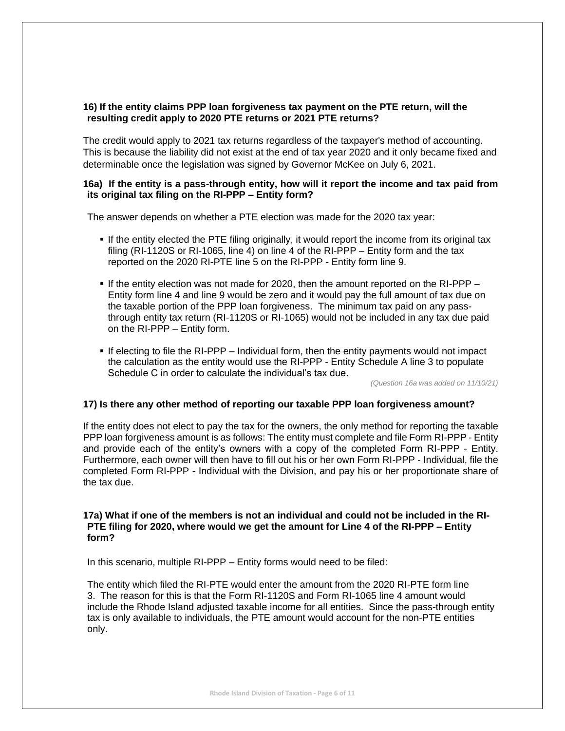# **16) If the entity claims PPP loan forgiveness tax payment on the PTE return, will the resulting credit apply to 2020 PTE returns or 2021 PTE returns?**

The credit would apply to 2021 tax returns regardless of the taxpayer's method of accounting. This is because the liability did not exist at the end of tax year 2020 and it only became fixed and determinable once the legislation was signed by Governor McKee on July 6, 2021.

#### **16a) If the entity is a pass-through entity, how will it report the income and tax paid from its original tax filing on the RI-PPP – Entity form?**

The answer depends on whether a PTE election was made for the 2020 tax year:

- **.** If the entity elected the PTE filing originally, it would report the income from its original tax filing (RI-1120S or RI-1065, line 4) on line 4 of the RI-PPP – Entity form and the tax reported on the 2020 RI-PTE line 5 on the RI-PPP - Entity form line 9.
- **.** If the entity election was not made for 2020, then the amount reported on the RI-PPP Entity form line 4 and line 9 would be zero and it would pay the full amount of tax due on the taxable portion of the PPP loan forgiveness. The minimum tax paid on any passthrough entity tax return (RI-1120S or RI-1065) would not be included in any tax due paid on the RI-PPP – Entity form.
- **.** If electing to file the RI-PPP Individual form, then the entity payments would not impact the calculation as the entity would use the RI-PPP - Entity Schedule A line 3 to populate Schedule C in order to calculate the individual's tax due.

*(Question 16a was added on 11/10/21)* 

#### **17) Is there any other method of reporting our taxable PPP loan forgiveness amount?**

If the entity does not elect to pay the tax for the owners, the only method for reporting the taxable PPP loan forgiveness amount is as follows: The entity must complete and file Form RI-PPP - Entity and provide each of the entity's owners with a copy of the completed Form RI-PPP - Entity. Furthermore, each owner will then have to fill out his or her own Form RI-PPP - Individual, file the completed Form RI-PPP - Individual with the Division, and pay his or her proportionate share of the tax due.

#### **17a) What if one of the members is not an individual and could not be included in the RI-PTE filing for 2020, where would we get the amount for Line 4 of the RI-PPP – Entity form?**

In this scenario, multiple RI-PPP – Entity forms would need to be filed:

The entity which filed the RI-PTE would enter the amount from the 2020 RI-PTE form line 3. The reason for this is that the Form RI-1120S and Form RI-1065 line 4 amount would include the Rhode Island adjusted taxable income for all entities. Since the pass-through entity tax is only available to individuals, the PTE amount would account for the non-PTE entities only.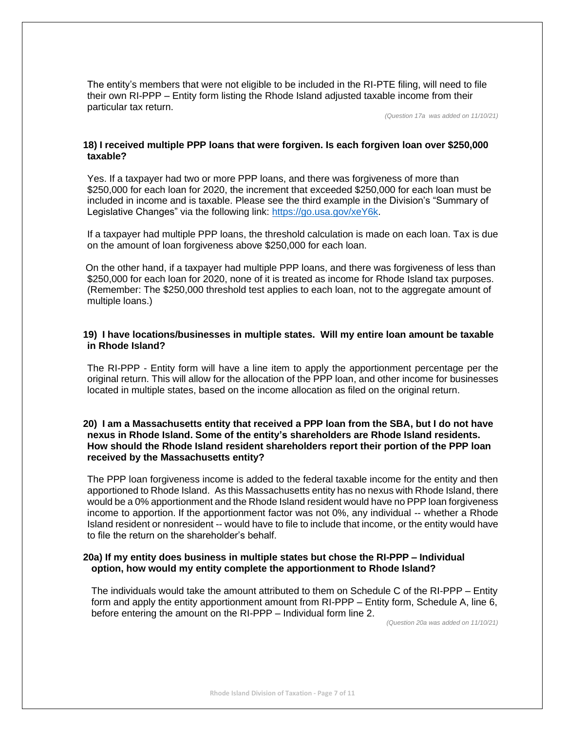The entity's members that were not eligible to be included in the RI-PTE filing, will need to file their own RI-PPP – Entity form listing the Rhode Island adjusted taxable income from their particular tax return.

*(Question 17a was added on 11/10/21)*

#### **18) I received multiple PPP loans that were forgiven. Is each forgiven loan over \$250,000 taxable?**

Yes. If a taxpayer had two or more PPP loans, and there was forgiveness of more than \$250,000 for each loan for 2020, the increment that exceeded \$250,000 for each loan must be included in income and is taxable. Please see the third example in the Division's "Summary of Legislative Changes" via the following link: [https://go.usa.gov/xeY6k.](https://go.usa.gov/xeY6k)

If a taxpayer had multiple PPP loans, the threshold calculation is made on each loan. Tax is due on the amount of loan forgiveness above \$250,000 for each loan.

On the other hand, if a taxpayer had multiple PPP loans, and there was forgiveness of less than \$250,000 for each loan for 2020, none of it is treated as income for Rhode Island tax purposes. (Remember: The \$250,000 threshold test applies to each loan, not to the aggregate amount of multiple loans.)

#### **19) I have locations/businesses in multiple states. Will my entire loan amount be taxable in Rhode Island?**

The RI-PPP - Entity form will have a line item to apply the apportionment percentage per the original return. This will allow for the allocation of the PPP loan, and other income for businesses located in multiple states, based on the income allocation as filed on the original return.

#### **20) I am a Massachusetts entity that received a PPP loan from the SBA, but I do not have nexus in Rhode Island. Some of the entity's shareholders are Rhode Island residents. How should the Rhode Island resident shareholders report their portion of the PPP loan received by the Massachusetts entity?**

The PPP loan forgiveness income is added to the federal taxable income for the entity and then apportioned to Rhode Island. As this Massachusetts entity has no nexus with Rhode Island, there would be a 0% apportionment and the Rhode Island resident would have no PPP loan forgiveness income to apportion. If the apportionment factor was not 0%, any individual -- whether a Rhode Island resident or nonresident -- would have to file to include that income, or the entity would have to file the return on the shareholder's behalf.

#### **20a) If my entity does business in multiple states but chose the RI-PPP – Individual option, how would my entity complete the apportionment to Rhode Island?**

The individuals would take the amount attributed to them on Schedule C of the RI-PPP – Entity form and apply the entity apportionment amount from RI-PPP – Entity form, Schedule A, line 6, before entering the amount on the RI-PPP – Individual form line 2.

*(Question 20a was added on 11/10/21)*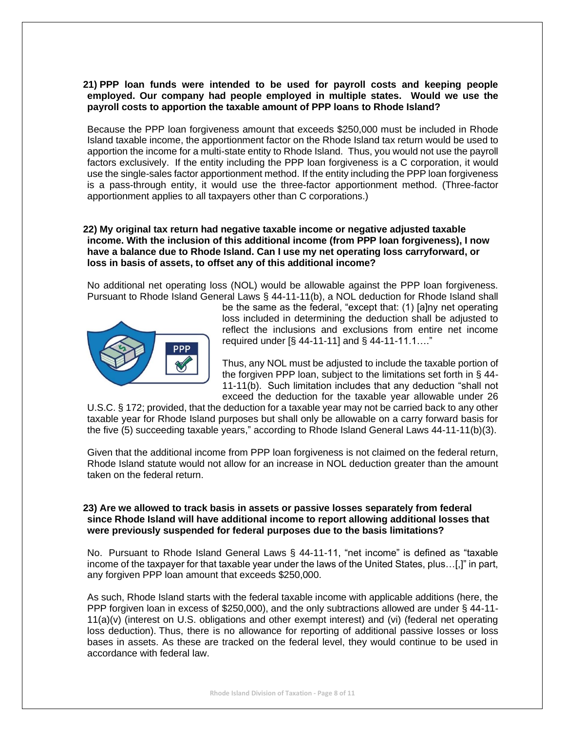# **21) PPP loan funds were intended to be used for payroll costs and keeping people employed. Our company had people employed in multiple states. Would we use the payroll costs to apportion the taxable amount of PPP loans to Rhode Island?**

Because the PPP loan forgiveness amount that exceeds \$250,000 must be included in Rhode Island taxable income, the apportionment factor on the Rhode Island tax return would be used to apportion the income for a multi-state entity to Rhode Island. Thus, you would not use the payroll factors exclusively. If the entity including the PPP loan forgiveness is a C corporation, it would use the single-sales factor apportionment method. If the entity including the PPP loan forgiveness is a pass-through entity, it would use the three-factor apportionment method. (Three-factor apportionment applies to all taxpayers other than C corporations.)

# **22) My original tax return had negative taxable income or negative adjusted taxable income. With the inclusion of this additional income (from PPP loan forgiveness), I now have a balance due to Rhode Island. Can I use my net operating loss carryforward, or loss in basis of assets, to offset any of this additional income?**

No additional net operating loss (NOL) would be allowable against the PPP loan forgiveness. Pursuant to Rhode Island General Laws § 44-11-11(b), a NOL deduction for Rhode Island shall



be the same as the federal, "except that: (1) [a]ny net operating loss included in determining the deduction shall be adjusted to reflect the inclusions and exclusions from entire net income required under [§ 44-11-11] and § 44-11-11.1…."

Thus, any NOL must be adjusted to include the taxable portion of the forgiven PPP loan, subject to the limitations set forth in § 44- 11-11(b). Such limitation includes that any deduction "shall not exceed the deduction for the taxable year allowable under 26

U.S.C. § 172; provided, that the deduction for a taxable year may not be carried back to any other taxable year for Rhode Island purposes but shall only be allowable on a carry forward basis for the five (5) succeeding taxable years," according to Rhode Island General Laws 44-11-11(b)(3).

Given that the additional income from PPP loan forgiveness is not claimed on the federal return, Rhode Island statute would not allow for an increase in NOL deduction greater than the amount taken on the federal return.

#### **23) Are we allowed to track basis in assets or passive losses separately from federal since Rhode Island will have additional income to report allowing additional losses that were previously suspended for federal purposes due to the basis limitations?**

No. Pursuant to Rhode Island General Laws § 44-11-11, "net income" is defined as "taxable income of the taxpayer for that taxable year under the laws of the United States, plus…[,]" in part, any forgiven PPP loan amount that exceeds \$250,000.

As such, Rhode Island starts with the federal taxable income with applicable additions (here, the PPP forgiven loan in excess of \$250,000), and the only subtractions allowed are under § 44-11- 11(a)(v) (interest on U.S. obligations and other exempt interest) and (vi) (federal net operating loss deduction). Thus, there is no allowance for reporting of additional passive losses or loss bases in assets. As these are tracked on the federal level, they would continue to be used in accordance with federal law.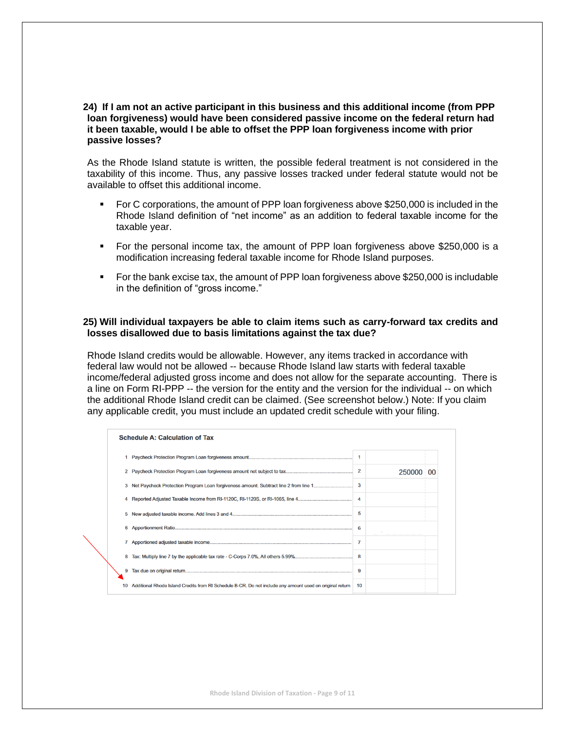# **24) If I am not an active participant in this business and this additional income (from PPP loan forgiveness) would have been considered passive income on the federal return had it been taxable, would I be able to offset the PPP loan forgiveness income with prior passive losses?**

As the Rhode Island statute is written, the possible federal treatment is not considered in the taxability of this income. Thus, any passive losses tracked under federal statute would not be available to offset this additional income.

- For C corporations, the amount of PPP loan forgiveness above \$250,000 is included in the Rhode Island definition of "net income" as an addition to federal taxable income for the taxable year.
- For the personal income tax, the amount of PPP loan forgiveness above \$250,000 is a modification increasing federal taxable income for Rhode Island purposes.
- For the bank excise tax, the amount of PPP loan forgiveness above \$250,000 is includable in the definition of "gross income."

#### **25) Will individual taxpayers be able to claim items such as carry-forward tax credits and losses disallowed due to basis limitations against the tax due?**

Rhode Island credits would be allowable. However, any items tracked in accordance with federal law would not be allowed -- because Rhode Island law starts with federal taxable income/federal adjusted gross income and does not allow for the separate accounting. There is a line on Form RI-PPP -- the version for the entity and the version for the individual -- on which the additional Rhode Island credit can be claimed. (See screenshot below.) Note: If you claim any applicable credit, you must include an updated credit schedule with your filing.

| <b>Schedule A: Calculation of Tax</b>                                                                    |                         |        |   |
|----------------------------------------------------------------------------------------------------------|-------------------------|--------|---|
|                                                                                                          |                         |        |   |
|                                                                                                          | $\overline{\mathbf{2}}$ | 250000 | ന |
| Net Paycheck Protection Program Loan forgiveness amount. Subtract line 2 from line 1                     |                         |        |   |
|                                                                                                          |                         |        |   |
|                                                                                                          | 5                       |        |   |
|                                                                                                          |                         |        |   |
|                                                                                                          |                         |        |   |
|                                                                                                          |                         |        |   |
|                                                                                                          | 9                       |        |   |
| Additional Rhode Island Credits from RI Schedule B-CR. Do not include any amount used on original return | 10                      |        |   |
|                                                                                                          |                         |        |   |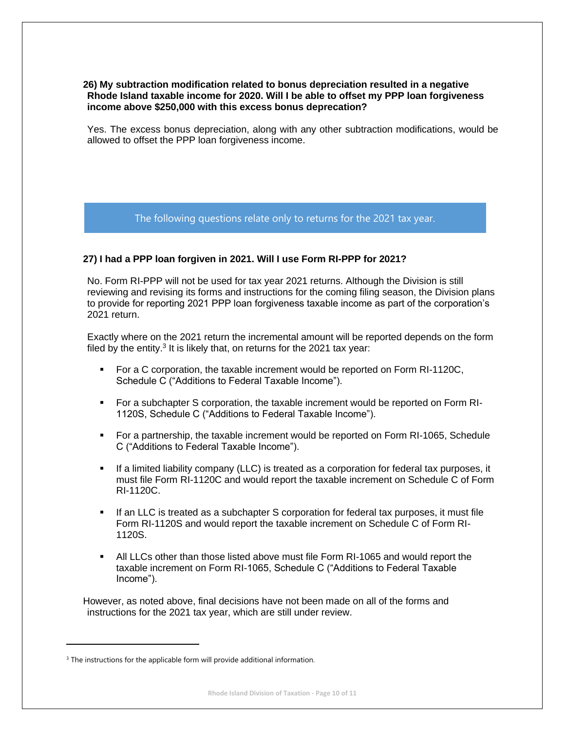#### **26) My subtraction modification related to bonus depreciation resulted in a negative Rhode Island taxable income for 2020. Will I be able to offset my PPP loan forgiveness income above \$250,000 with this excess bonus deprecation?**

Yes. The excess bonus depreciation, along with any other subtraction modifications, would be allowed to offset the PPP loan forgiveness income.

# The following questions relate only to returns for the 2021 tax year.

#### **27) I had a PPP loan forgiven in 2021. Will I use Form RI-PPP for 2021?**

No. Form RI-PPP will not be used for tax year 2021 returns. Although the Division is still reviewing and revising its forms and instructions for the coming filing season, the Division plans to provide for reporting 2021 PPP loan forgiveness taxable income as part of the corporation's 2021 return.

Exactly where on the 2021 return the incremental amount will be reported depends on the form filed by the entity.<sup>3</sup> It is likely that, on returns for the 2021 tax year:

- For a C corporation, the taxable increment would be reported on Form RI-1120C, Schedule C ("Additions to Federal Taxable Income").
- **For a subchapter S corporation, the taxable increment would be reported on Form RI-**1120S, Schedule C ("Additions to Federal Taxable Income").
- For a partnership, the taxable increment would be reported on Form RI-1065, Schedule C ("Additions to Federal Taxable Income").
- If a limited liability company (LLC) is treated as a corporation for federal tax purposes, it must file Form RI-1120C and would report the taxable increment on Schedule C of Form RI-1120C.
- **EXECC** is treated as a subchapter S corporation for federal tax purposes, it must file Form RI-1120S and would report the taxable increment on Schedule C of Form RI-1120S.
- All LLCs other than those listed above must file Form RI-1065 and would report the taxable increment on Form RI-1065, Schedule C ("Additions to Federal Taxable Income").

However, as noted above, final decisions have not been made on all of the forms and instructions for the 2021 tax year, which are still under review.

 $3$  The instructions for the applicable form will provide additional information.